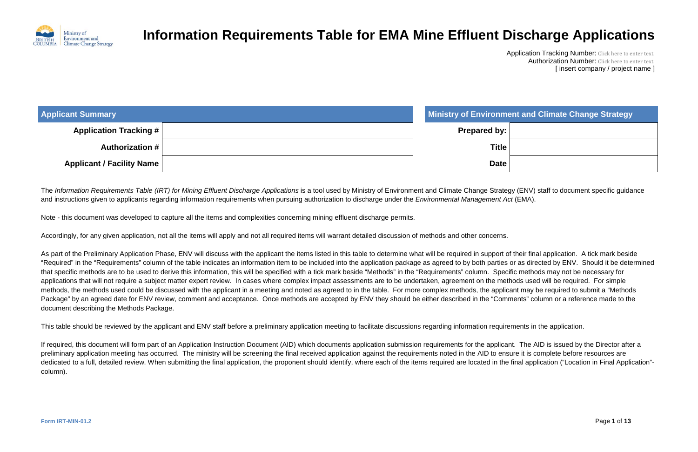

Application Tracking Number: Click here to enter text. Authorization Number: Click here to enter text. [ insert company / project name ]

#### **Applicant Summary Ministry of Environment and Climate Change Strategy**

| <b>Applicant Summary</b>         | <b>Ministry of Environmer</b> |
|----------------------------------|-------------------------------|
| <b>Application Tracking #</b>    | <b>Prepared by:</b>           |
| <b>Authorization #</b>           | <b>Title</b>                  |
| <b>Applicant / Facility Name</b> | <b>Date</b>                   |

The *Information Requirements Table (IRT) for Mining Effluent Discharge Applications* is a tool used by Ministry of Environment and Climate Change Strategy (ENV) staff to document specific guidance and instructions given to applicants regarding information requirements when pursuing authorization to discharge under the *Environmental Management Act* (EMA).

Note - this document was developed to capture all the items and complexities concerning mining effluent discharge permits.

Accordingly, for any given application, not all the items will apply and not all required items will warrant detailed discussion of methods and other concerns.

As part of the Preliminary Application Phase, ENV will discuss with the applicant the items listed in this table to determine what will be required in support of their final application. A tick mark beside "Required" in the "Requirements" column of the table indicates an information item to be included into the application package as agreed to by both parties or as directed by ENV. Should it be determined that specific methods are to be used to derive this information, this will be specified with a tick mark beside "Methods" in the "Requirements" column. Specific methods may not be necessary for applications that will not require a subject matter expert review. In cases where complex impact assessments are to be undertaken, agreement on the methods used will be required. For simple methods, the methods used could be discussed with the applicant in a meeting and noted as agreed to in the table. For more complex methods, the applicant may be required to submit a "Methods Package" by an agreed date for ENV review, comment and acceptance. Once methods are accepted by ENV they should be either described in the "Comments" column or a reference made to the document describing the Methods Package.

This table should be reviewed by the applicant and ENV staff before a preliminary application meeting to facilitate discussions regarding information requirements in the application.

If required, this document will form part of an Application Instruction Document (AID) which documents application submission requirements for the applicant. The AID is issued by the Director after a preliminary application meeting has occurred. The ministry will be screening the final received application against the requirements noted in the AID to ensure it is complete before resources are dedicated to a full, detailed review. When submitting the final application, the proponent should identify, where each of the items required are located in the final application ("Location in Final Application"column).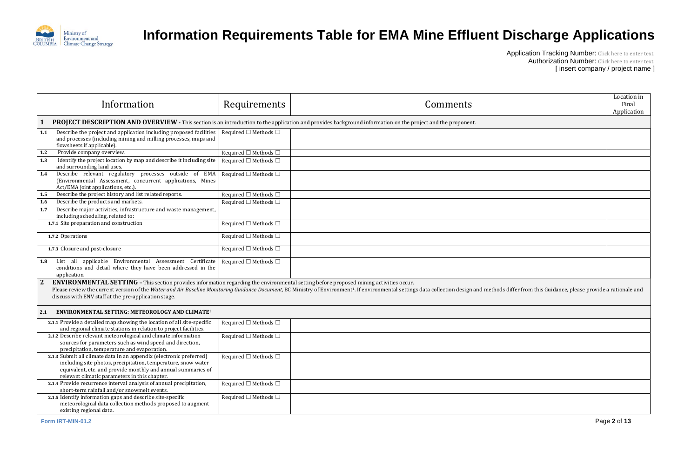

|                                                        | Location in<br>Final<br>Application |
|--------------------------------------------------------|-------------------------------------|
|                                                        |                                     |
|                                                        |                                     |
|                                                        |                                     |
|                                                        |                                     |
|                                                        |                                     |
|                                                        |                                     |
|                                                        |                                     |
|                                                        |                                     |
|                                                        |                                     |
|                                                        |                                     |
|                                                        |                                     |
|                                                        |                                     |
| fer from this Guidance, please provide a rationale and |                                     |
|                                                        |                                     |
|                                                        |                                     |
|                                                        |                                     |
|                                                        |                                     |
|                                                        |                                     |
|                                                        |                                     |
|                                                        |                                     |
|                                                        |                                     |

| Information                                                                                                                                                                                                                                                                                                                                                                                                                                      | <b>Requirements</b>                  | Comments | Location in<br>Final<br>Application |  |
|--------------------------------------------------------------------------------------------------------------------------------------------------------------------------------------------------------------------------------------------------------------------------------------------------------------------------------------------------------------------------------------------------------------------------------------------------|--------------------------------------|----------|-------------------------------------|--|
| <b>PROJECT DESCRIPTION AND OVERVIEW</b> - This section is an introduction to the application and provides background information on the project and the proponent.                                                                                                                                                                                                                                                                               |                                      |          |                                     |  |
| Describe the project and application including proposed facilities<br>1.1<br>and processes (including mining and milling processes, maps and<br>flowsheets if applicable).                                                                                                                                                                                                                                                                       | Required $\square$ Methods $\square$ |          |                                     |  |
| Provide company overview.<br>1.2                                                                                                                                                                                                                                                                                                                                                                                                                 | Required $\square$ Methods $\square$ |          |                                     |  |
| Identify the project location by map and describe it including site<br>1.3<br>and surrounding land uses.                                                                                                                                                                                                                                                                                                                                         | Required $\square$ Methods $\square$ |          |                                     |  |
| Describe relevant regulatory processes outside of EMA<br>1.4<br>(Environmental Assessment, concurrent applications, Mines<br>Act/EMA joint applications, etc.).                                                                                                                                                                                                                                                                                  | Required $\square$ Methods $\square$ |          |                                     |  |
| Describe the project history and list related reports.<br>1.5                                                                                                                                                                                                                                                                                                                                                                                    | Required $\Box$ Methods $\Box$       |          |                                     |  |
| Describe the products and markets.<br>1.6                                                                                                                                                                                                                                                                                                                                                                                                        | Required $\square$ Methods $\square$ |          |                                     |  |
| Describe major activities, infrastructure and waste management,<br>1.7<br>including scheduling, related to:                                                                                                                                                                                                                                                                                                                                      |                                      |          |                                     |  |
| 1.7.1 Site preparation and construction                                                                                                                                                                                                                                                                                                                                                                                                          | Required $\square$ Methods $\square$ |          |                                     |  |
| 1.7.2 Operations                                                                                                                                                                                                                                                                                                                                                                                                                                 | Required $\square$ Methods $\square$ |          |                                     |  |
| 1.7.3 Closure and post-closure                                                                                                                                                                                                                                                                                                                                                                                                                   | Required $\square$ Methods $\square$ |          |                                     |  |
| List all applicable Environmental Assessment Certificate<br>1.8<br>conditions and detail where they have been addressed in the<br>application.                                                                                                                                                                                                                                                                                                   | Required $\square$ Methods $\square$ |          |                                     |  |
| $\mathbf{2}$<br>ENVIRONMENTAL SETTING - This section provides information regarding the environmental setting before proposed mining activities occur.<br>Please review the current version of the Water and Air Baseline Monitoring Guidance Document, BC Ministry of Environment1. If environmental settings data collection design and methods differ from this Guidance, please prov<br>discuss with ENV staff at the pre-application stage. |                                      |          |                                     |  |
| ENVIRONMENTAL SETTING: METEOROLOGY AND CLIMATE <sup>1</sup><br>2.1                                                                                                                                                                                                                                                                                                                                                                               |                                      |          |                                     |  |
| 2.1.1 Provide a detailed map showing the location of all site-specific<br>and regional climate stations in relation to project facilities.                                                                                                                                                                                                                                                                                                       | Required $\square$ Methods $\square$ |          |                                     |  |
| 2.1.2 Describe relevant meteorological and climate information<br>sources for parameters such as wind speed and direction,<br>precipitation, temperature and evaporation.                                                                                                                                                                                                                                                                        | Required $\square$ Methods $\square$ |          |                                     |  |
| 2.1.3 Submit all climate data in an appendix (electronic preferred)<br>including site photos, precipitation, temperature, snow water<br>equivalent, etc. and provide monthly and annual summaries of<br>relevant climatic parameters in this chapter.                                                                                                                                                                                            | Required $\square$ Methods $\square$ |          |                                     |  |
| 2.1.4 Provide recurrence interval analysis of annual precipitation,<br>short-term rainfall and/or snowmelt events.                                                                                                                                                                                                                                                                                                                               | Required $\square$ Methods $\square$ |          |                                     |  |
| 2.1.5 Identify information gaps and describe site-specific<br>meteorological data collection methods proposed to augment<br>existing regional data.                                                                                                                                                                                                                                                                                              | Required $\square$ Methods $\square$ |          |                                     |  |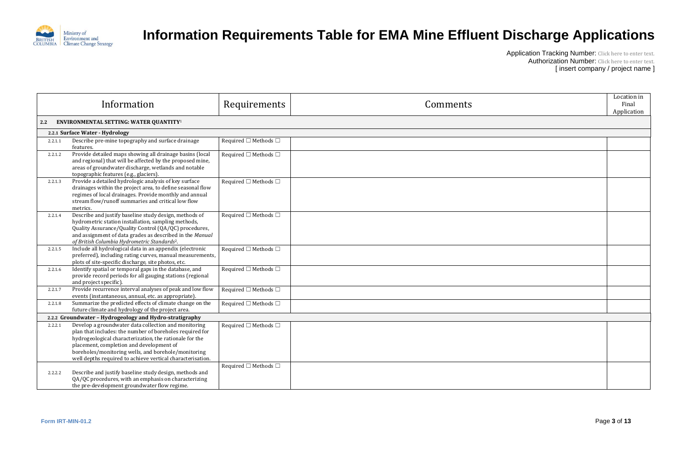

| Location in<br>Final<br>Application |
|-------------------------------------|
|                                     |
|                                     |
|                                     |
|                                     |
|                                     |
|                                     |
|                                     |
|                                     |
|                                     |
|                                     |
|                                     |
|                                     |
|                                     |
|                                     |
|                                     |
|                                     |
|                                     |
|                                     |
|                                     |
|                                     |

|                                                         | Information                                                                                                                                                                                                                                                                                                                                  | Requirements                         | Comments |  |
|---------------------------------------------------------|----------------------------------------------------------------------------------------------------------------------------------------------------------------------------------------------------------------------------------------------------------------------------------------------------------------------------------------------|--------------------------------------|----------|--|
| 2.2                                                     | ENVIRONMENTAL SETTING: WATER QUANTITY <sup>1</sup>                                                                                                                                                                                                                                                                                           |                                      |          |  |
|                                                         | 2.2.1 Surface Water - Hydrology                                                                                                                                                                                                                                                                                                              |                                      |          |  |
| 2.2.1.1                                                 | Describe pre-mine topography and surface drainage<br>features.                                                                                                                                                                                                                                                                               | Required $\square$ Methods $\square$ |          |  |
| 2.2.1.2                                                 | Provide detailed maps showing all drainage basins (local<br>and regional) that will be affected by the proposed mine,<br>areas of groundwater discharge, wetlands and notable<br>topographic features (e.g., glaciers).                                                                                                                      | Required $\square$ Methods $\square$ |          |  |
| 2.2.1.3                                                 | Provide a detailed hydrologic analysis of key surface<br>drainages within the project area, to define seasonal flow<br>regimes of local drainages. Provide monthly and annual<br>stream flow/runoff summaries and critical low flow<br>metrics.                                                                                              | Required $\square$ Methods $\square$ |          |  |
| 2.2.1.4                                                 | Describe and justify baseline study design, methods of<br>hydrometric station installation, sampling methods,<br>Quality Assurance/Quality Control (QA/QC) procedures,<br>and assignment of data grades as described in the Manual<br>of British Columbia Hydrometric Standards <sup>2</sup> .                                               | Required $\square$ Methods $\square$ |          |  |
| 2.2.1.5                                                 | Include all hydrological data in an appendix (electronic<br>preferred), including rating curves, manual measurements,<br>plots of site-specific discharge, site photos, etc.                                                                                                                                                                 | Required $\square$ Methods $\square$ |          |  |
| 2.2.1.6                                                 | Identify spatial or temporal gaps in the database, and<br>provide record periods for all gauging stations (regional<br>and project specific).                                                                                                                                                                                                | Required $\square$ Methods $\square$ |          |  |
| 2.2.1.7                                                 | Provide recurrence interval analyses of peak and low flow<br>events (instantaneous, annual, etc. as appropriate).                                                                                                                                                                                                                            | Required $\square$ Methods $\square$ |          |  |
| 2.2.1.8                                                 | Summarize the predicted effects of climate change on the<br>future climate and hydrology of the project area.                                                                                                                                                                                                                                | Required $\square$ Methods $\square$ |          |  |
| 2.2.2 Groundwater - Hydrogeology and Hydro-stratigraphy |                                                                                                                                                                                                                                                                                                                                              |                                      |          |  |
| 2.2.2.1                                                 | Develop a groundwater data collection and monitoring<br>plan that includes: the number of boreholes required for<br>hydrogeological characterization, the rationale for the<br>placement, completion and development of<br>boreholes/monitoring wells, and borehole/monitoring<br>well depths required to achieve vertical characterisation. | Required $\square$ Methods $\square$ |          |  |
| 2.2.2.2                                                 | Describe and justify baseline study design, methods and<br>QA/QC procedures, with an emphasis on characterizing<br>the pre-development groundwater flow regime.                                                                                                                                                                              | Required $\Box$ Methods $\Box$       |          |  |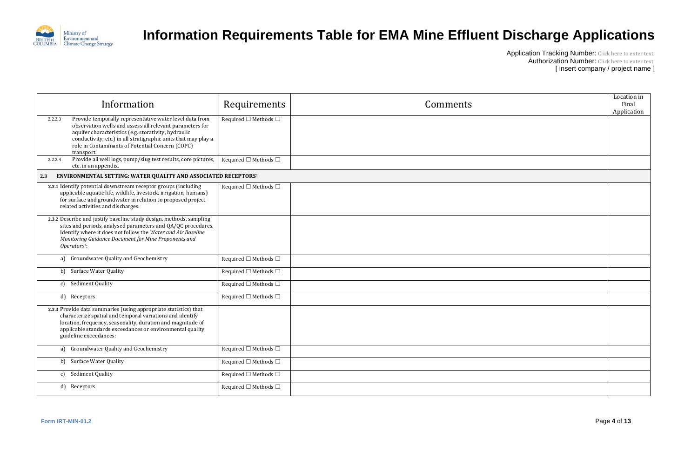

| Location in<br>Final<br>Application |
|-------------------------------------|
|                                     |
|                                     |
|                                     |
|                                     |
|                                     |
|                                     |
|                                     |
|                                     |
|                                     |
|                                     |
|                                     |
|                                     |
|                                     |
|                                     |
|                                     |
|                                     |
|                                     |
|                                     |
|                                     |

| Information                                                                                                                                                                                                                                                                                                                | Requirements                         | Comments |
|----------------------------------------------------------------------------------------------------------------------------------------------------------------------------------------------------------------------------------------------------------------------------------------------------------------------------|--------------------------------------|----------|
| Provide temporally representative water level data from<br>2.2.2.3<br>observation wells and assess all relevant parameters for<br>aquifer characteristics (e.g. storativity, hydraulic<br>conductivity, etc.) in all stratigraphic units that may play a<br>role in Contaminants of Potential Concern (COPC)<br>transport. | Required $\square$ Methods $\square$ |          |
| Provide all well logs, pump/slug test results, core pictures,<br>2.2.2.4<br>etc. in an appendix.                                                                                                                                                                                                                           | Required $\Box$ Methods $\Box$       |          |
| ENVIRONMENTAL SETTING: WATER QUALITY AND ASSOCIATED RECEPTORS <sup>1</sup><br>2.3                                                                                                                                                                                                                                          |                                      |          |
| 2.3.1 Identify potential downstream receptor groups (including<br>applicable aquatic life, wildlife, livestock, irrigation, humans)<br>for surface and groundwater in relation to proposed project<br>related activities and discharges.                                                                                   | Required $\square$ Methods $\square$ |          |
| 2.3.2 Describe and justify baseline study design, methods, sampling<br>sites and periods, analysed parameters and QA/QC procedures.<br>Identify where it does not follow the Water and Air Baseline<br>Monitoring Guidance Document for Mine Proponents and<br>$Operators1$ :                                              |                                      |          |
| Groundwater Quality and Geochemistry<br>a)                                                                                                                                                                                                                                                                                 | Required $\square$ Methods $\square$ |          |
| <b>Surface Water Quality</b><br>b                                                                                                                                                                                                                                                                                          | Required $\square$ Methods $\square$ |          |
| Sediment Quality<br>C)                                                                                                                                                                                                                                                                                                     | Required $\Box$ Methods $\Box$       |          |
| d)<br>Receptors                                                                                                                                                                                                                                                                                                            | Required $\square$ Methods $\square$ |          |
| 2.3.3 Provide data summaries (using appropriate statistics) that<br>characterize spatial and temporal variations and identify<br>location, frequency, seasonality, duration and magnitude of<br>applicable standards exceedances or environmental quality<br>guideline exceedances:                                        |                                      |          |
| Groundwater Quality and Geochemistry<br>a)                                                                                                                                                                                                                                                                                 | Required $\square$ Methods $\square$ |          |
| <b>Surface Water Quality</b><br>b)                                                                                                                                                                                                                                                                                         | Required $\square$ Methods $\square$ |          |
| Sediment Quality<br>c)                                                                                                                                                                                                                                                                                                     | Required $\square$ Methods $\square$ |          |
| Receptors<br>d)                                                                                                                                                                                                                                                                                                            | Required $\square$ Methods $\square$ |          |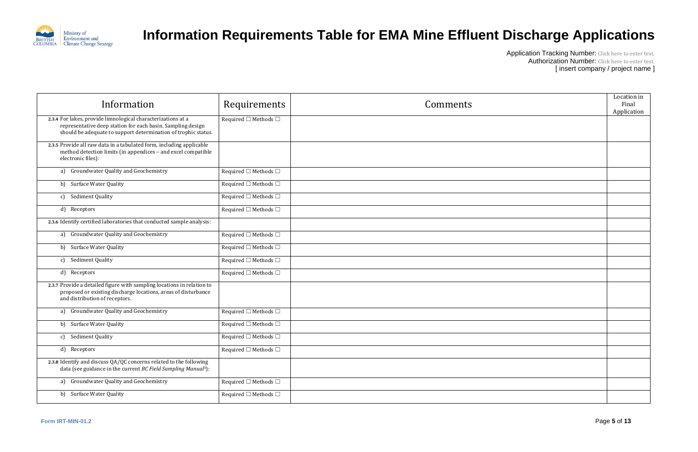

| Location in          |
|----------------------|
| Final<br>Application |
|                      |
|                      |
|                      |
|                      |
|                      |
|                      |
|                      |
|                      |
|                      |
|                      |
|                      |
|                      |
|                      |
|                      |
|                      |
|                      |
|                      |
|                      |
|                      |
|                      |
|                      |
|                      |

| Information                                                                                                                                                                                   | Requirements                         | Comments |
|-----------------------------------------------------------------------------------------------------------------------------------------------------------------------------------------------|--------------------------------------|----------|
| 2.3.4 For lakes, provide limnological characterizations at a<br>representative deep station for each basin. Sampling design<br>should be adequate to support determination of trophic status. | Required $\square$ Methods $\square$ |          |
| 2.3.5 Provide all raw data in a tabulated form, including applicable<br>method detection limits (in appendices - and excel compatible<br>electronic files):                                   |                                      |          |
| Groundwater Quality and Geochemistry<br>a)                                                                                                                                                    | Required $\square$ Methods $\square$ |          |
| <b>Surface Water Quality</b><br>b                                                                                                                                                             | Required $\square$ Methods $\square$ |          |
| Sediment Quality<br>c)                                                                                                                                                                        | Required $\square$ Methods $\square$ |          |
| d) Receptors                                                                                                                                                                                  | Required $\square$ Methods $\square$ |          |
| 2.3.6 Identify certified laboratories that conducted sample analysis:                                                                                                                         |                                      |          |
| Groundwater Quality and Geochemistry<br>a)                                                                                                                                                    | Required $\square$ Methods $\square$ |          |
| b) Surface Water Quality                                                                                                                                                                      | Required $\square$ Methods $\square$ |          |
| Sediment Quality<br>c)                                                                                                                                                                        | Required $\square$ Methods $\square$ |          |
| d) Receptors                                                                                                                                                                                  | Required $\square$ Methods $\square$ |          |
| 2.3.7 Provide a detailed figure with sampling locations in relation to<br>proposed or existing discharge locations, areas of disturbance<br>and distribution of receptors.                    |                                      |          |
| Groundwater Quality and Geochemistry<br>a)                                                                                                                                                    | Required $\square$ Methods $\square$ |          |
| <b>Surface Water Quality</b><br>b                                                                                                                                                             | Required $\square$ Methods $\square$ |          |
| Sediment Quality<br>c)                                                                                                                                                                        | Required $\square$ Methods $\square$ |          |
| $\mathbf{d}$<br>Receptors                                                                                                                                                                     | Required $\square$ Methods $\square$ |          |
| 2.3.8 Identify and discuss QA/QC concerns related to the following<br>data (see guidance in the current BC Field Sampling Manual <sup>3</sup> ):                                              |                                      |          |
| Groundwater Quality and Geochemistry<br>a)                                                                                                                                                    | Required $\square$ Methods $\square$ |          |
| b) Surface Water Quality                                                                                                                                                                      | Required $\square$ Methods $\square$ |          |
|                                                                                                                                                                                               |                                      |          |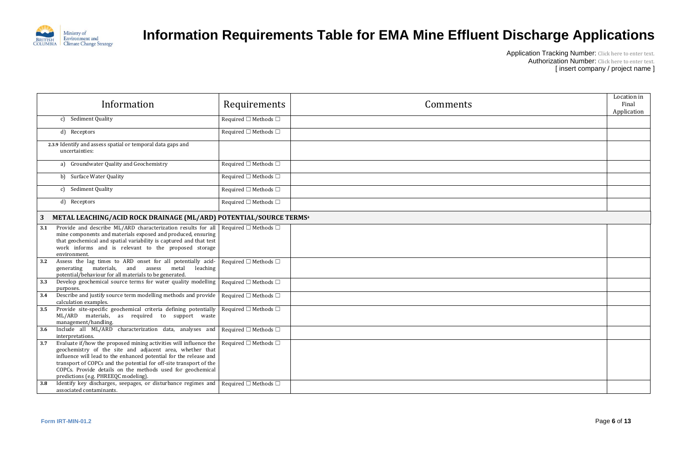

| Location in<br>Final<br>Application |
|-------------------------------------|
|                                     |
|                                     |
|                                     |
|                                     |
|                                     |
|                                     |
|                                     |
|                                     |
|                                     |
|                                     |
|                                     |
|                                     |
|                                     |
|                                     |
|                                     |
|                                     |
|                                     |
|                                     |
|                                     |
|                                     |

|     | Information                                                                                                                                                                                                                                                                                                                                                                    | Requirements                         | Comments |
|-----|--------------------------------------------------------------------------------------------------------------------------------------------------------------------------------------------------------------------------------------------------------------------------------------------------------------------------------------------------------------------------------|--------------------------------------|----------|
|     | Sediment Quality<br>c)                                                                                                                                                                                                                                                                                                                                                         | Required $\square$ Methods $\square$ |          |
|     | d) Receptors                                                                                                                                                                                                                                                                                                                                                                   | Required $\square$ Methods $\square$ |          |
|     | 2.3.9 Identify and assess spatial or temporal data gaps and<br>uncertainties:                                                                                                                                                                                                                                                                                                  |                                      |          |
|     | Groundwater Quality and Geochemistry<br>a)                                                                                                                                                                                                                                                                                                                                     | Required $\square$ Methods $\square$ |          |
|     | <b>Surface Water Quality</b><br>b)                                                                                                                                                                                                                                                                                                                                             | Required $\square$ Methods $\square$ |          |
|     | Sediment Quality<br>c)                                                                                                                                                                                                                                                                                                                                                         | Required $\square$ Methods $\square$ |          |
|     | d) Receptors                                                                                                                                                                                                                                                                                                                                                                   | Required $\square$ Methods $\square$ |          |
| 3   | METAL LEACHING/ACID ROCK DRAINAGE (ML/ARD) POTENTIAL/SOURCE TERMS <sup>4</sup>                                                                                                                                                                                                                                                                                                 |                                      |          |
| 3.1 | Provide and describe ML/ARD characterization results for all<br>mine components and materials exposed and produced, ensuring<br>that geochemical and spatial variability is captured and that test<br>work informs and is relevant to the proposed storage<br>environment.                                                                                                     | Required $\square$ Methods $\square$ |          |
| 3.2 | Assess the lag times to ARD onset for all potentially acid-<br>materials,<br>and<br>assess<br>generating<br>metal<br>leaching<br>potential/behaviour for all materials to be generated.                                                                                                                                                                                        | Required $\square$ Methods $\square$ |          |
| 3.3 | Develop geochemical source terms for water quality modelling<br>purposes.                                                                                                                                                                                                                                                                                                      | Required $\square$ Methods $\square$ |          |
| 3.4 | Describe and justify source term modelling methods and provide<br>calculation examples.                                                                                                                                                                                                                                                                                        | Required $\square$ Methods $\square$ |          |
| 3.5 | Provide site-specific geochemical criteria defining potentially<br>ML/ARD materials, as required to support waste<br>management/handling.                                                                                                                                                                                                                                      | Required $\Box$ Methods $\Box$       |          |
| 3.6 | Include all ML/ARD characterization data, analyses and<br>interpretations.                                                                                                                                                                                                                                                                                                     | Required $\square$ Methods $\square$ |          |
| 3.7 | Evaluate if/how the proposed mining activities will influence the<br>geochemistry of the site and adjacent area, whether that<br>influence will lead to the enhanced potential for the release and<br>transport of COPCs and the potential for off-site transport of the<br>COPCs. Provide details on the methods used for geochemical<br>predictions (e.g. PHREEQC modeling). | Required $\square$ Methods $\square$ |          |
| 3.8 | Identify key discharges, seepages, or disturbance regimes and<br>associated contaminants.                                                                                                                                                                                                                                                                                      | Required $\Box$ Methods $\Box$       |          |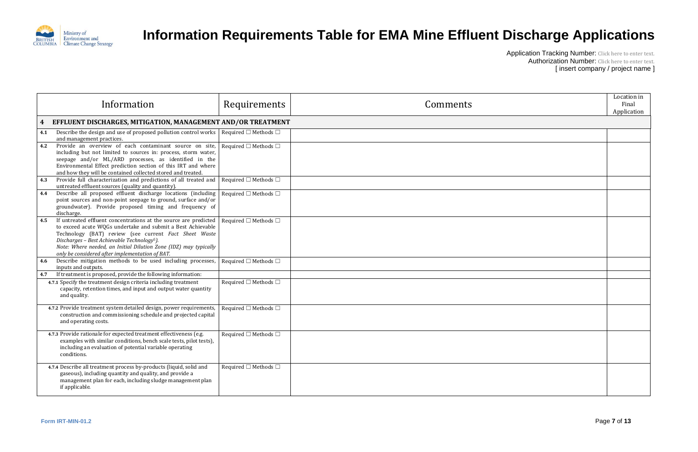

| Location in<br>Final<br>Application |
|-------------------------------------|
|                                     |
|                                     |
|                                     |
|                                     |
|                                     |
|                                     |
|                                     |
|                                     |
|                                     |
|                                     |
|                                     |
|                                     |
|                                     |
|                                     |
|                                     |
|                                     |
|                                     |
|                                     |
|                                     |
|                                     |
|                                     |
|                                     |

| Information                                                                                                                                                                                                                                                                                                                                                                       | Requirements                         | Comments |
|-----------------------------------------------------------------------------------------------------------------------------------------------------------------------------------------------------------------------------------------------------------------------------------------------------------------------------------------------------------------------------------|--------------------------------------|----------|
| EFFLUENT DISCHARGES, MITIGATION, MANAGEMENT AND/OR TREATMENT<br>4                                                                                                                                                                                                                                                                                                                 |                                      |          |
| Describe the design and use of proposed pollution control works<br>4.1<br>and management practices.                                                                                                                                                                                                                                                                               | Required $\square$ Methods $\square$ |          |
| Provide an overview of each contaminant source on site,<br>4.2<br>including but not limited to sources in: process, storm water,<br>seepage and/or ML/ARD processes, as identified in the<br>Environmental Effect prediction section of this IRT and where<br>and how they will be contained collected stored and treated.                                                        | Required $\square$ Methods $\square$ |          |
| Provide full characterization and predictions of all treated and<br>4.3<br>untreated effluent sources (quality and quantity).                                                                                                                                                                                                                                                     | Required $\square$ Methods $\square$ |          |
| Describe all proposed effluent discharge locations (including<br>4.4<br>point sources and non-point seepage to ground, surface and/or<br>groundwater). Provide proposed timing and frequency of<br>discharge.                                                                                                                                                                     | Required $\square$ Methods $\square$ |          |
| If untreated effluent concentrations at the source are predicted<br>4.5<br>to exceed acute WQGs undertake and submit a Best Achievable<br>Technology (BAT) review (see current Fact Sheet Waste<br>Discharges - Best Achievable Technology <sup>5</sup> ).<br>Note: Where needed, an Initial Dilution Zone (IDZ) may typically<br>only be considered after implementation of BAT. | Required $\square$ Methods $\square$ |          |
| Describe mitigation methods to be used including processes,<br>4.6<br>inputs and outputs.                                                                                                                                                                                                                                                                                         | Required $\square$ Methods $\square$ |          |
| If treatment is proposed, provide the following information:<br>4.7                                                                                                                                                                                                                                                                                                               |                                      |          |
| 4.7.1 Specify the treatment design criteria including treatment<br>capacity, retention times, and input and output water quantity<br>and quality.                                                                                                                                                                                                                                 | Required $\square$ Methods $\square$ |          |
| 4.7.2 Provide treatment system detailed design, power requirements,<br>construction and commissioning schedule and projected capital<br>and operating costs.                                                                                                                                                                                                                      | Required $\square$ Methods $\square$ |          |
| 4.7.3 Provide rationale for expected treatment effectiveness (e.g.<br>examples with similar conditions, bench scale tests, pilot tests),<br>including an evaluation of potential variable operating<br>conditions.                                                                                                                                                                | Required $\square$ Methods $\square$ |          |
| 4.7.4 Describe all treatment process by-products (liquid, solid and<br>gaseous), including quantity and quality, and provide a<br>management plan for each, including sludge management plan<br>if applicable.                                                                                                                                                                    | Required $\square$ Methods $\square$ |          |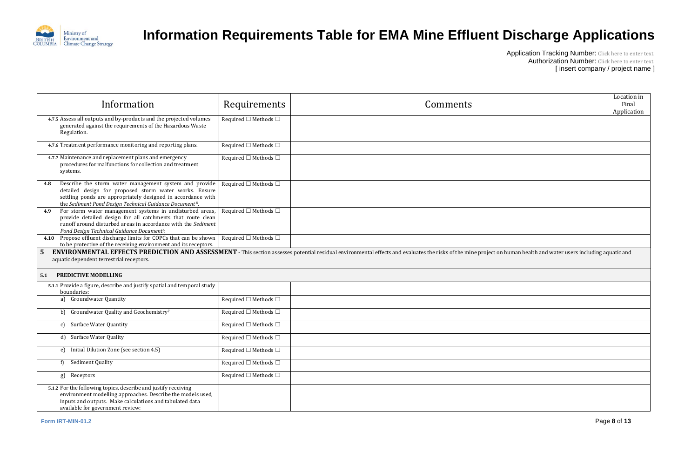

|                                                  | Location in<br>Final<br>Application |
|--------------------------------------------------|-------------------------------------|
|                                                  |                                     |
|                                                  |                                     |
|                                                  |                                     |
|                                                  |                                     |
|                                                  |                                     |
|                                                  |                                     |
| han health and water users including aquatic and |                                     |
|                                                  |                                     |
|                                                  |                                     |
|                                                  |                                     |
|                                                  |                                     |
|                                                  |                                     |
|                                                  |                                     |
|                                                  |                                     |
|                                                  |                                     |
|                                                  |                                     |
|                                                  |                                     |
|                                                  |                                     |

| Information                                                                                                                                                                                                                                                    | Requirements                         | Comments                                                                                                                                                                                                           | Locatic<br>Fina<br>Applica |
|----------------------------------------------------------------------------------------------------------------------------------------------------------------------------------------------------------------------------------------------------------------|--------------------------------------|--------------------------------------------------------------------------------------------------------------------------------------------------------------------------------------------------------------------|----------------------------|
| 4.7.5 Assess all outputs and by-products and the projected volumes<br>generated against the requirements of the Hazardous Waste<br>Regulation.                                                                                                                 | Required $\square$ Methods $\square$ |                                                                                                                                                                                                                    |                            |
| 4.7.6 Treatment performance monitoring and reporting plans.                                                                                                                                                                                                    | Required $\square$ Methods $\square$ |                                                                                                                                                                                                                    |                            |
| 4.7.7 Maintenance and replacement plans and emergency<br>procedures for malfunctions for collection and treatment<br>systems.                                                                                                                                  | Required $\square$ Methods $\square$ |                                                                                                                                                                                                                    |                            |
| Describe the storm water management system and provide<br>4.8<br>detailed design for proposed storm water works. Ensure<br>settling ponds are appropriately designed in accordance with<br>the Sediment Pond Design Technical Guidance Document <sup>6</sup> . | Required $\square$ Methods $\square$ |                                                                                                                                                                                                                    |                            |
| For storm water management systems in undisturbed areas,<br>4.9<br>provide detailed design for all catchments that route clean<br>runoff around disturbed areas in accordance with the Sediment<br>Pond Design Technical Guidance Document <sup>6</sup> .      | Required $\square$ Methods $\square$ |                                                                                                                                                                                                                    |                            |
| Propose effluent discharge limits for COPCs that can be shown<br>4.10<br>to be protective of the receiving environment and its receptors.                                                                                                                      | Required $\square$ Methods $\square$ |                                                                                                                                                                                                                    |                            |
| aquatic dependent terrestrial receptors.<br><b>PREDICTIVE MODELLING</b><br>5.1                                                                                                                                                                                 |                                      | ENVIRONMENTAL EFFECTS PREDICTION AND ASSESSMENT - This section assesses potential residual environmental effects and evaluates the risks of the mine project on human health and water users including aquatic and |                            |
| 5.1.1 Provide a figure, describe and justify spatial and temporal study<br>boundaries:                                                                                                                                                                         |                                      |                                                                                                                                                                                                                    |                            |
| a) Groundwater Quantity                                                                                                                                                                                                                                        | Required $\square$ Methods $\square$ |                                                                                                                                                                                                                    |                            |
| b) Groundwater Quality and Geochemistry <sup>7</sup>                                                                                                                                                                                                           | Required $\square$ Methods $\square$ |                                                                                                                                                                                                                    |                            |
| <b>Surface Water Quantity</b><br>c)                                                                                                                                                                                                                            | Required $\square$ Methods $\square$ |                                                                                                                                                                                                                    |                            |
| d) Surface Water Quality                                                                                                                                                                                                                                       | Required $\square$ Methods $\square$ |                                                                                                                                                                                                                    |                            |
| e) Initial Dilution Zone (see section 4.5)                                                                                                                                                                                                                     | Required $\square$ Methods $\square$ |                                                                                                                                                                                                                    |                            |
| Sediment Quality<br>f)                                                                                                                                                                                                                                         | Required $\square$ Methods $\square$ |                                                                                                                                                                                                                    |                            |
| g) Receptors                                                                                                                                                                                                                                                   | Required $\square$ Methods $\square$ |                                                                                                                                                                                                                    |                            |
| 5.1.2 For the following topics, describe and justify receiving<br>environment modelling approaches. Describe the models used,<br>inputs and outputs. Make calculations and tabulated data<br>available for government review:                                  |                                      |                                                                                                                                                                                                                    |                            |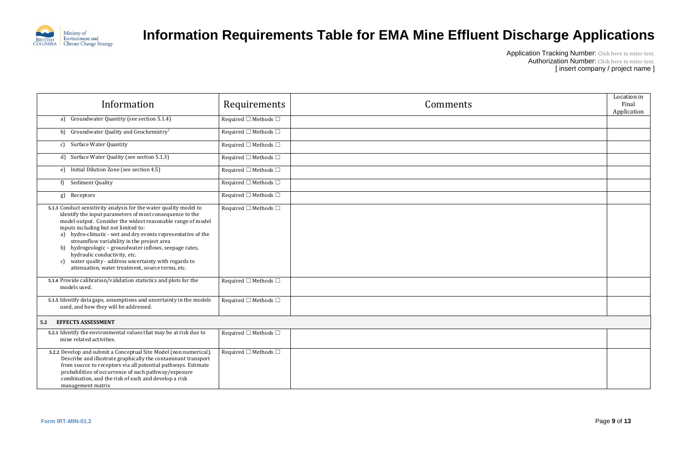

| Location in<br>Final<br>Application |
|-------------------------------------|
|                                     |
|                                     |
|                                     |
|                                     |
|                                     |
|                                     |
|                                     |
|                                     |
|                                     |
|                                     |
|                                     |
|                                     |
|                                     |
|                                     |
|                                     |
|                                     |
|                                     |
|                                     |
|                                     |
|                                     |
|                                     |

| Information                                                                                                                                                                                                                                                                                                                                                                                                                                                                                                                                                   | Requirements                         | Comments |
|---------------------------------------------------------------------------------------------------------------------------------------------------------------------------------------------------------------------------------------------------------------------------------------------------------------------------------------------------------------------------------------------------------------------------------------------------------------------------------------------------------------------------------------------------------------|--------------------------------------|----------|
| Groundwater Quantity (see section 5.1.4)<br>a)                                                                                                                                                                                                                                                                                                                                                                                                                                                                                                                | Required $\square$ Methods $\square$ |          |
| Groundwater Quality and Geochemistry7<br>b)                                                                                                                                                                                                                                                                                                                                                                                                                                                                                                                   | Required $\square$ Methods $\square$ |          |
| <b>Surface Water Quantity</b><br>C)                                                                                                                                                                                                                                                                                                                                                                                                                                                                                                                           | Required $\square$ Methods $\square$ |          |
| Surface Water Quality (see section 5.1.3)<br>d)                                                                                                                                                                                                                                                                                                                                                                                                                                                                                                               | Required $\square$ Methods $\square$ |          |
| Initial Dilution Zone (see section 4.5)<br>e)                                                                                                                                                                                                                                                                                                                                                                                                                                                                                                                 | Required $\square$ Methods $\square$ |          |
| Sediment Quality<br>f)                                                                                                                                                                                                                                                                                                                                                                                                                                                                                                                                        | Required $\square$ Methods $\square$ |          |
| Receptors<br>g)                                                                                                                                                                                                                                                                                                                                                                                                                                                                                                                                               | Required $\square$ Methods $\square$ |          |
| 5.1.3 Conduct sensitivity analysis for the water quality model to<br>identify the input parameters of most consequence to the<br>model output. Consider the widest reasonable range of model<br>inputs including but not limited to:<br>a) hydro-climatic - wet and dry events representative of the<br>streamflow variability in the project area<br>b) hydrogeologic - groundwater inflows, seepage rates,<br>hydraulic conductivity, etc.<br>water quality - address uncertainty with regards to<br>C)<br>attenuation, water treatment, source terms, etc. | Required $\square$ Methods $\square$ |          |
| 5.1.4 Provide calibration/validation statistics and plots for the<br>models used.                                                                                                                                                                                                                                                                                                                                                                                                                                                                             | Required $\Box$ Methods $\Box$       |          |
| 5.1.5 Identify data gaps, assumptions and uncertainty in the models<br>used, and how they will be addressed.                                                                                                                                                                                                                                                                                                                                                                                                                                                  | Required $\square$ Methods $\square$ |          |
| <b>EFFECTS ASSESSMENT</b><br>5.2                                                                                                                                                                                                                                                                                                                                                                                                                                                                                                                              |                                      |          |
| 5.2.1 Identify the environmental values that may be at risk due to<br>mine related activities.                                                                                                                                                                                                                                                                                                                                                                                                                                                                | Required $\square$ Methods $\square$ |          |
| 5.2.2 Develop and submit a Conceptual Site Model (non numerical).<br>Describe and illustrate graphically the contaminant transport<br>from source to receptors via all potential pathways. Estimate<br>probabilities of occurrence of each pathway/exposure<br>combination, and the risk of each and develop a risk<br>management matrix                                                                                                                                                                                                                      | Required $\square$ Methods $\square$ |          |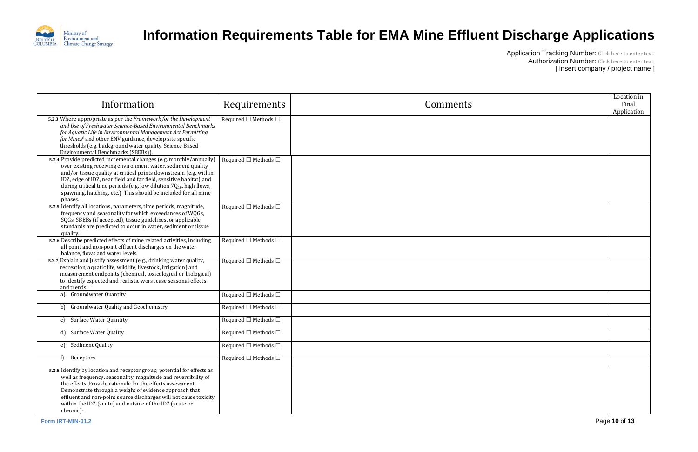

| Location in<br>Final<br>Application |
|-------------------------------------|
|                                     |
|                                     |
|                                     |
|                                     |
|                                     |
|                                     |
|                                     |
|                                     |
|                                     |
|                                     |
|                                     |
|                                     |
|                                     |
|                                     |
|                                     |

| Information                                                                                                                                                                                                                                                                                                                                                                                                                          | Requirements                         | Comments |
|--------------------------------------------------------------------------------------------------------------------------------------------------------------------------------------------------------------------------------------------------------------------------------------------------------------------------------------------------------------------------------------------------------------------------------------|--------------------------------------|----------|
| 5.2.3 Where appropriate as per the Framework for the Development<br>and Use of Freshwater Science-Based Environmental Benchmarks<br>for Aquatic Life in Environmental Management Act Permitting<br>for Mines <sup>8</sup> and other ENV guidance, develop site specific<br>thresholds (e.g. background water quality, Science Based<br>Environmental Benchmarks (SBEBs)).                                                            | Required $\square$ Methods $\square$ |          |
| 5.2.4 Provide predicted incremental changes (e.g. monthly/annually)<br>over existing receiving environment water, sediment quality<br>and/or tissue quality at critical points downstream (e.g. within<br>IDZ, edge of IDZ, near field and far field, sensitive habitat) and<br>during critical time periods (e.g. low dilution $7Q_{10}$ , high flows,<br>spawning, hatching, etc.) This should be included for all mine<br>phases. | Required $\square$ Methods $\square$ |          |
| 5.2.5 Identify all locations, parameters, time periods, magnitude,<br>frequency and seasonality for which exceedances of WQGs,<br>SQGs, SBEBs (if accepted), tissue guidelines, or applicable<br>standards are predicted to occur in water, sediment or tissue<br>quality.                                                                                                                                                           | Required $\square$ Methods $\square$ |          |
| 5.2.6 Describe predicted effects of mine related activities, including<br>all point and non-point effluent discharges on the water<br>balance, flows and water levels.                                                                                                                                                                                                                                                               | Required $\Box$ Methods $\Box$       |          |
| 5.2.7 Explain and justify assessment (e.g., drinking water quality,<br>recreation, aquatic life, wildlife, livestock, irrigation) and<br>measurement endpoints (chemical, toxicological or biological)<br>to identify expected and realistic worst case seasonal effects<br>and trends:                                                                                                                                              | Required $\Box$ Methods $\Box$       |          |
| Groundwater Quantity<br>a)                                                                                                                                                                                                                                                                                                                                                                                                           | Required $\square$ Methods $\square$ |          |
| Groundwater Quality and Geochemistry<br>b)                                                                                                                                                                                                                                                                                                                                                                                           | Required $\Box$ Methods $\Box$       |          |
| <b>Surface Water Quantity</b><br>c)                                                                                                                                                                                                                                                                                                                                                                                                  | Required $\Box$ Methods $\Box$       |          |
| <b>Surface Water Quality</b><br>d)                                                                                                                                                                                                                                                                                                                                                                                                   | Required $\Box$ Methods $\Box$       |          |
| e) Sediment Quality                                                                                                                                                                                                                                                                                                                                                                                                                  | Required $\square$ Methods $\square$ |          |
| Receptors<br>f)                                                                                                                                                                                                                                                                                                                                                                                                                      | Required $\square$ Methods $\square$ |          |
| 5.2.8 Identify by location and receptor group, potential for effects as<br>well as frequency, seasonality, magnitude and reversibility of<br>the effects. Provide rationale for the effects assessment.<br>Demonstrate through a weight of evidence approach that<br>effluent and non-point source discharges will not cause toxicity<br>within the IDZ (acute) and outside of the IDZ (acute or<br>chronic):                        |                                      |          |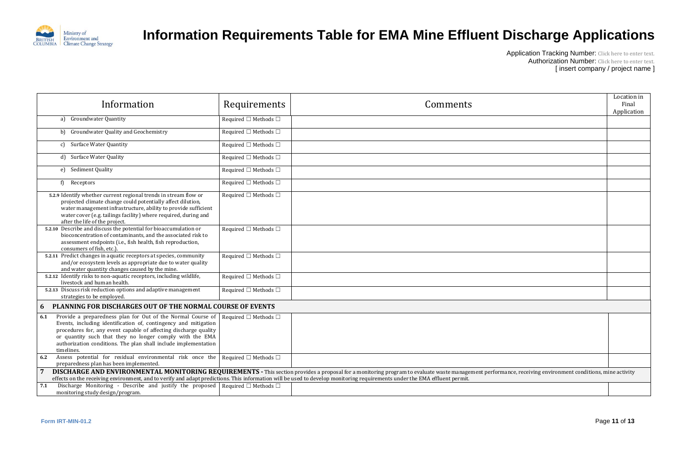

|                                                    | Location in<br>Final<br>Application |
|----------------------------------------------------|-------------------------------------|
|                                                    |                                     |
|                                                    |                                     |
|                                                    |                                     |
|                                                    |                                     |
|                                                    |                                     |
|                                                    |                                     |
|                                                    |                                     |
|                                                    |                                     |
|                                                    |                                     |
|                                                    |                                     |
|                                                    |                                     |
|                                                    |                                     |
|                                                    |                                     |
|                                                    |                                     |
|                                                    |                                     |
|                                                    |                                     |
|                                                    |                                     |
|                                                    |                                     |
| e, receiving environment conditions, mine activity |                                     |
|                                                    |                                     |

| Information                                                                                                                                                                                                                                                                                                                                                                           | Requirements                         | Comments                                                                                                                                                                                                                                                                                                                                                                                | Location<br>Final<br>Applicat |
|---------------------------------------------------------------------------------------------------------------------------------------------------------------------------------------------------------------------------------------------------------------------------------------------------------------------------------------------------------------------------------------|--------------------------------------|-----------------------------------------------------------------------------------------------------------------------------------------------------------------------------------------------------------------------------------------------------------------------------------------------------------------------------------------------------------------------------------------|-------------------------------|
| <b>Groundwater Quantity</b><br>a)                                                                                                                                                                                                                                                                                                                                                     | Required $\square$ Methods $\square$ |                                                                                                                                                                                                                                                                                                                                                                                         |                               |
| b) Groundwater Quality and Geochemistry                                                                                                                                                                                                                                                                                                                                               | Required $\square$ Methods $\square$ |                                                                                                                                                                                                                                                                                                                                                                                         |                               |
| c) Surface Water Quantity                                                                                                                                                                                                                                                                                                                                                             | Required $\square$ Methods $\square$ |                                                                                                                                                                                                                                                                                                                                                                                         |                               |
| d) Surface Water Quality                                                                                                                                                                                                                                                                                                                                                              | Required $\square$ Methods $\square$ |                                                                                                                                                                                                                                                                                                                                                                                         |                               |
| Sediment Quality<br>e)                                                                                                                                                                                                                                                                                                                                                                | Required $\square$ Methods $\square$ |                                                                                                                                                                                                                                                                                                                                                                                         |                               |
| Receptors<br>f)                                                                                                                                                                                                                                                                                                                                                                       | Required $\square$ Methods $\square$ |                                                                                                                                                                                                                                                                                                                                                                                         |                               |
| 5.2.9 Identify whether current regional trends in stream flow or<br>projected climate change could potentially affect dilution,<br>water management infrastructure, ability to provide sufficient<br>water cover (e.g. tailings facility) where required, during and<br>after the life of the project.                                                                                | Required $\square$ Methods $\square$ |                                                                                                                                                                                                                                                                                                                                                                                         |                               |
| 5.2.10 Describe and discuss the potential for bioaccumulation or<br>bioconcentration of contaminants, and the associated risk to<br>assessment endpoints (i.e., fish health, fish reproduction,<br>consumers of fish, etc.).                                                                                                                                                          | Required $\square$ Methods $\square$ |                                                                                                                                                                                                                                                                                                                                                                                         |                               |
| 5.2.11 Predict changes in aquatic receptors at species, community<br>and/or ecosystem levels as appropriate due to water quality<br>and water quantity changes caused by the mine.                                                                                                                                                                                                    | Required $\square$ Methods $\square$ |                                                                                                                                                                                                                                                                                                                                                                                         |                               |
| 5.2.12 Identify risks to non-aquatic receptors, including wildlife,<br>livestock and human health.                                                                                                                                                                                                                                                                                    | Required $\square$ Methods $\square$ |                                                                                                                                                                                                                                                                                                                                                                                         |                               |
| 5.2.13 Discuss risk reduction options and adaptive management<br>strategies to be employed.                                                                                                                                                                                                                                                                                           | Required $\square$ Methods $\square$ |                                                                                                                                                                                                                                                                                                                                                                                         |                               |
| <b>PLANNING FOR DISCHARGES OUT OF THE NORMAL COURSE OF EVENTS</b><br>6                                                                                                                                                                                                                                                                                                                |                                      |                                                                                                                                                                                                                                                                                                                                                                                         |                               |
| Provide a preparedness plan for Out of the Normal Course of Required $\Box$ Methods $\Box$<br>6.1<br>Events, including identification of, contingency and mitigation<br>procedures for, any event capable of affecting discharge quality<br>or quantity such that they no longer comply with the EMA<br>authorization conditions. The plan shall include implementation<br>timelines. |                                      |                                                                                                                                                                                                                                                                                                                                                                                         |                               |
| Assess potential for residual environmental risk once the Required $\Box$ Methods $\Box$<br>6.2<br>preparedness plan has been implemented.                                                                                                                                                                                                                                            |                                      |                                                                                                                                                                                                                                                                                                                                                                                         |                               |
|                                                                                                                                                                                                                                                                                                                                                                                       |                                      | DISCHARGE AND ENVIRONMENTAL MONITORING REQUIREMENTS - This section provides a proposal for a monitoring program to evaluate waste management performance, receiving environment conditions, mine activity<br>effects on the receiving environment, and to verify and adapt predictions. This information will be used to develop monitoring requirements under the EMA effluent permit. |                               |
| Discharge Monitoring - Describe and justify the proposed Required $\Box$ Methods $\Box$<br>7.1<br>monitoring study design/program.                                                                                                                                                                                                                                                    |                                      |                                                                                                                                                                                                                                                                                                                                                                                         |                               |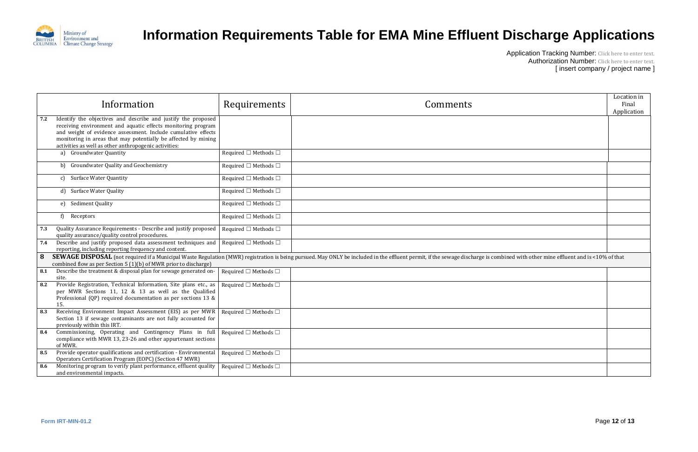

|                                                | Location in |
|------------------------------------------------|-------------|
|                                                | Final       |
|                                                |             |
|                                                | Application |
|                                                |             |
|                                                |             |
|                                                |             |
|                                                |             |
|                                                |             |
|                                                |             |
|                                                |             |
|                                                |             |
|                                                |             |
|                                                |             |
|                                                |             |
|                                                |             |
|                                                |             |
|                                                |             |
|                                                |             |
|                                                |             |
|                                                |             |
|                                                |             |
|                                                |             |
|                                                |             |
|                                                |             |
|                                                |             |
|                                                |             |
| d with other mine effluent and is <10% of that |             |
|                                                |             |
|                                                |             |
|                                                |             |
|                                                |             |
|                                                |             |
|                                                |             |
|                                                |             |
|                                                |             |
|                                                |             |
|                                                |             |
|                                                |             |
|                                                |             |
|                                                |             |
|                                                |             |
|                                                |             |
|                                                |             |
|                                                |             |
|                                                |             |
|                                                |             |
|                                                |             |

|     | Information                                                                                                                                                                                                                                                                                                               | Requirements                         | Comments                                                                                                                                                                                                                           | Loca<br>Appl |
|-----|---------------------------------------------------------------------------------------------------------------------------------------------------------------------------------------------------------------------------------------------------------------------------------------------------------------------------|--------------------------------------|------------------------------------------------------------------------------------------------------------------------------------------------------------------------------------------------------------------------------------|--------------|
| 7.2 | Identify the objectives and describe and justify the proposed<br>receiving environment and aquatic effects monitoring program<br>and weight of evidence assessment. Include cumulative effects<br>monitoring in areas that may potentially be affected by mining<br>activities as well as other anthropogenic activities: |                                      |                                                                                                                                                                                                                                    |              |
|     | a) Groundwater Quantity                                                                                                                                                                                                                                                                                                   | Required $\Box$ Methods $\Box$       |                                                                                                                                                                                                                                    |              |
|     | b) Groundwater Quality and Geochemistry                                                                                                                                                                                                                                                                                   | Required $\square$ Methods $\square$ |                                                                                                                                                                                                                                    |              |
|     | c) Surface Water Quantity                                                                                                                                                                                                                                                                                                 | Required $\square$ Methods $\square$ |                                                                                                                                                                                                                                    |              |
|     | d) Surface Water Quality                                                                                                                                                                                                                                                                                                  | Required $\square$ Methods $\square$ |                                                                                                                                                                                                                                    |              |
|     | e) Sediment Quality                                                                                                                                                                                                                                                                                                       | Required $\Box$ Methods $\Box$       |                                                                                                                                                                                                                                    |              |
|     | Receptors<br>f)                                                                                                                                                                                                                                                                                                           | Required $\square$ Methods $\square$ |                                                                                                                                                                                                                                    |              |
| 7.3 | Quality Assurance Requirements - Describe and justify proposed<br>quality assurance/quality control procedures.                                                                                                                                                                                                           | Required $\square$ Methods $\square$ |                                                                                                                                                                                                                                    |              |
| 7.4 | Describe and justify proposed data assessment techniques and<br>reporting, including reporting frequency and content.                                                                                                                                                                                                     | Required $\square$ Methods $\square$ |                                                                                                                                                                                                                                    |              |
| 8   | combined flow as per Section 5 (1)(b) of MWR prior to discharge)                                                                                                                                                                                                                                                          |                                      | <b>SEWAGE DISPOSAL</b> (not required if a Municipal Waste Regulation (MWR) registration is being pursued. May ONLY be included in the effluent permit, if the sewage discharge is combined with other mine effluent and is <10% of |              |
| 8.1 | Describe the treatment & disposal plan for sewage generated on-<br>site.                                                                                                                                                                                                                                                  | Required $\square$ Methods $\square$ |                                                                                                                                                                                                                                    |              |
| 8.2 | Provide Registration, Technical Information, Site plans etc., as<br>per MWR Sections 11, 12 & 13 as well as the Qualified<br>Professional (QP) required documentation as per sections 13 &<br>15.                                                                                                                         | Required $\square$ Methods $\square$ |                                                                                                                                                                                                                                    |              |
| 8.3 | Receiving Environment Impact Assessment (EIS) as per MWR<br>Section 13 if sewage contaminants are not fully accounted for<br>previously within this IRT.                                                                                                                                                                  | Required $\square$ Methods $\square$ |                                                                                                                                                                                                                                    |              |
| 8.4 | Commissioning, Operating and Contingency Plans in full<br>compliance with MWR 13, 23-26 and other appurtenant sections<br>of MWR.                                                                                                                                                                                         | Required $\square$ Methods $\square$ |                                                                                                                                                                                                                                    |              |
| 8.5 | Provide operator qualifications and certification - Environmental<br>Operators Certification Program (EOPC) (Section 47 MWR)                                                                                                                                                                                              | Required $\square$ Methods $\square$ |                                                                                                                                                                                                                                    |              |
| 8.6 | Monitoring program to verify plant performance, effluent quality<br>and environmental impacts.                                                                                                                                                                                                                            | Required $\square$ Methods $\square$ |                                                                                                                                                                                                                                    |              |